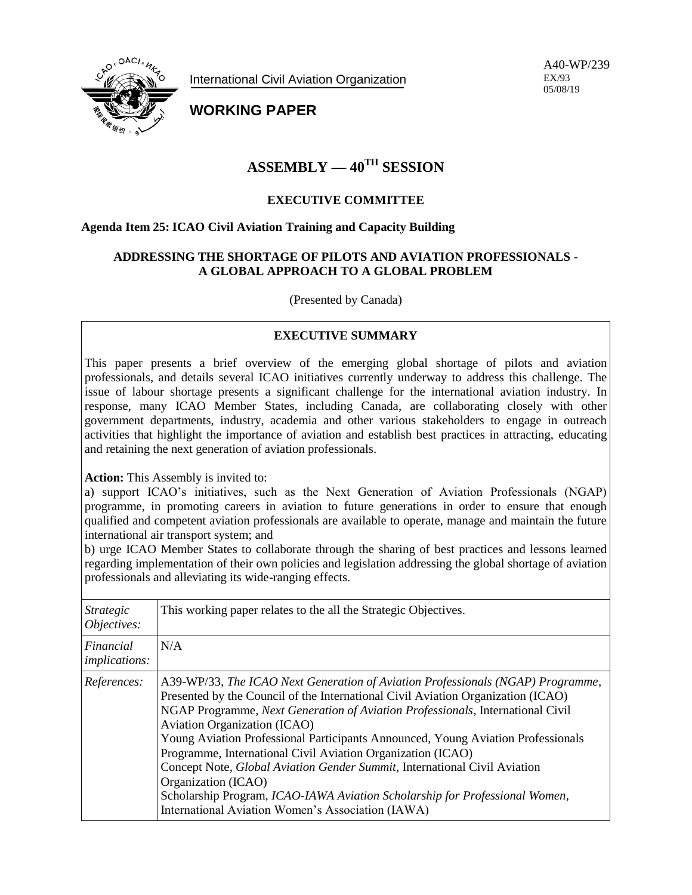

International Civil Aviation Organization

A40-WP/239 EX/93 05/08/19

**WORKING PAPER**

# **ASSEMBLY — 40TH SESSION**

## **EXECUTIVE COMMITTEE**

### **Agenda Item 25: ICAO Civil Aviation Training and Capacity Building**

#### **ADDRESSING THE SHORTAGE OF PILOTS AND AVIATION PROFESSIONALS - A GLOBAL APPROACH TO A GLOBAL PROBLEM**

(Presented by Canada)

# **EXECUTIVE SUMMARY**

This paper presents a brief overview of the emerging global shortage of pilots and aviation professionals, and details several ICAO initiatives currently underway to address this challenge. The issue of labour shortage presents a significant challenge for the international aviation industry. In response, many ICAO Member States, including Canada, are collaborating closely with other government departments, industry, academia and other various stakeholders to engage in outreach activities that highlight the importance of aviation and establish best practices in attracting, educating and retaining the next generation of aviation professionals.

**Action:** This Assembly is invited to:

a) support ICAO's initiatives, such as the Next Generation of Aviation Professionals (NGAP) programme, in promoting careers in aviation to future generations in order to ensure that enough qualified and competent aviation professionals are available to operate, manage and maintain the future international air transport system; and

b) urge ICAO Member States to collaborate through the sharing of best practices and lessons learned regarding implementation of their own policies and legislation addressing the global shortage of aviation professionals and alleviating its wide-ranging effects.

| <i>Strategic</i><br>Objectives:   | This working paper relates to the all the Strategic Objectives.                                                                                                                                                                                                                                                                                                                                                                                                                                                                                                                                                                                                                  |
|-----------------------------------|----------------------------------------------------------------------------------------------------------------------------------------------------------------------------------------------------------------------------------------------------------------------------------------------------------------------------------------------------------------------------------------------------------------------------------------------------------------------------------------------------------------------------------------------------------------------------------------------------------------------------------------------------------------------------------|
| Financial<br><i>implications:</i> | N/A                                                                                                                                                                                                                                                                                                                                                                                                                                                                                                                                                                                                                                                                              |
| References:                       | A39-WP/33, The ICAO Next Generation of Aviation Professionals (NGAP) Programme,<br>Presented by the Council of the International Civil Aviation Organization (ICAO)<br>NGAP Programme, Next Generation of Aviation Professionals, International Civil<br>Aviation Organization (ICAO)<br>Young Aviation Professional Participants Announced, Young Aviation Professionals<br>Programme, International Civil Aviation Organization (ICAO)<br>Concept Note, Global Aviation Gender Summit, International Civil Aviation<br>Organization (ICAO)<br>Scholarship Program, ICAO-IAWA Aviation Scholarship for Professional Women,<br>International Aviation Women's Association (IAWA) |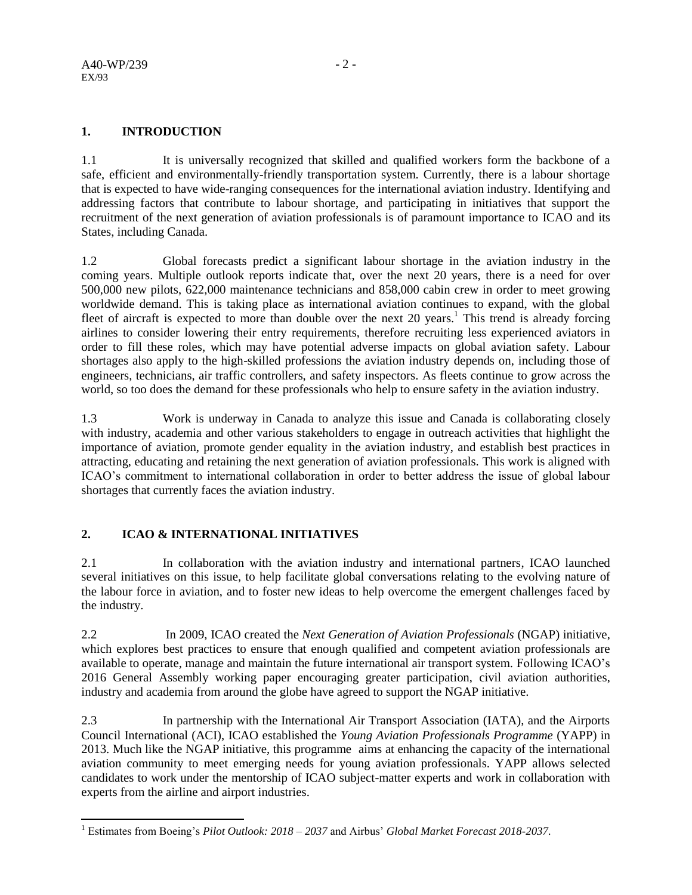l

# **1. INTRODUCTION**

1.1 It is universally recognized that skilled and qualified workers form the backbone of a safe, efficient and environmentally-friendly transportation system. Currently, there is a labour shortage that is expected to have wide-ranging consequences for the international aviation industry. Identifying and addressing factors that contribute to labour shortage, and participating in initiatives that support the recruitment of the next generation of aviation professionals is of paramount importance to ICAO and its States, including Canada.

1.2 Global forecasts predict a significant labour shortage in the aviation industry in the coming years. Multiple outlook reports indicate that, over the next 20 years, there is a need for over 500,000 new pilots, 622,000 maintenance technicians and 858,000 cabin crew in order to meet growing worldwide demand. This is taking place as international aviation continues to expand, with the global fleet of aircraft is expected to more than double over the next  $20$  years.<sup>1</sup> This trend is already forcing airlines to consider lowering their entry requirements, therefore recruiting less experienced aviators in order to fill these roles, which may have potential adverse impacts on global aviation safety. Labour shortages also apply to the high-skilled professions the aviation industry depends on, including those of engineers, technicians, air traffic controllers, and safety inspectors. As fleets continue to grow across the world, so too does the demand for these professionals who help to ensure safety in the aviation industry.

1.3 Work is underway in Canada to analyze this issue and Canada is collaborating closely with industry, academia and other various stakeholders to engage in outreach activities that highlight the importance of aviation, promote gender equality in the aviation industry, and establish best practices in attracting, educating and retaining the next generation of aviation professionals. This work is aligned with ICAO's commitment to international collaboration in order to better address the issue of global labour shortages that currently faces the aviation industry.

# **2. ICAO & INTERNATIONAL INITIATIVES**

2.1 In collaboration with the aviation industry and international partners, ICAO launched several initiatives on this issue, to help facilitate global conversations relating to the evolving nature of the labour force in aviation, and to foster new ideas to help overcome the emergent challenges faced by the industry.

2.2 In 2009, ICAO created the *Next Generation of Aviation Professionals* (NGAP) initiative, which explores best practices to ensure that enough qualified and competent aviation professionals are available to operate, manage and maintain the future international air transport system. Following ICAO's 2016 General Assembly working paper encouraging greater participation, civil aviation authorities, industry and academia from around the globe have agreed to support the NGAP initiative.

2.3 In partnership with the International Air Transport Association (IATA), and the Airports Council International (ACI), ICAO established the *Young Aviation Professionals Programme* (YAPP) in 2013. Much like the NGAP initiative, this programme aims at enhancing the capacity of the international aviation community to meet emerging needs for young aviation professionals. YAPP allows selected candidates to work under the mentorship of ICAO subject-matter experts and work in collaboration with experts from the airline and airport industries.

<sup>1</sup> Estimates from Boeing's *Pilot Outlook: 2018 – 2037* and Airbus' *Global Market Forecast 2018-2037.*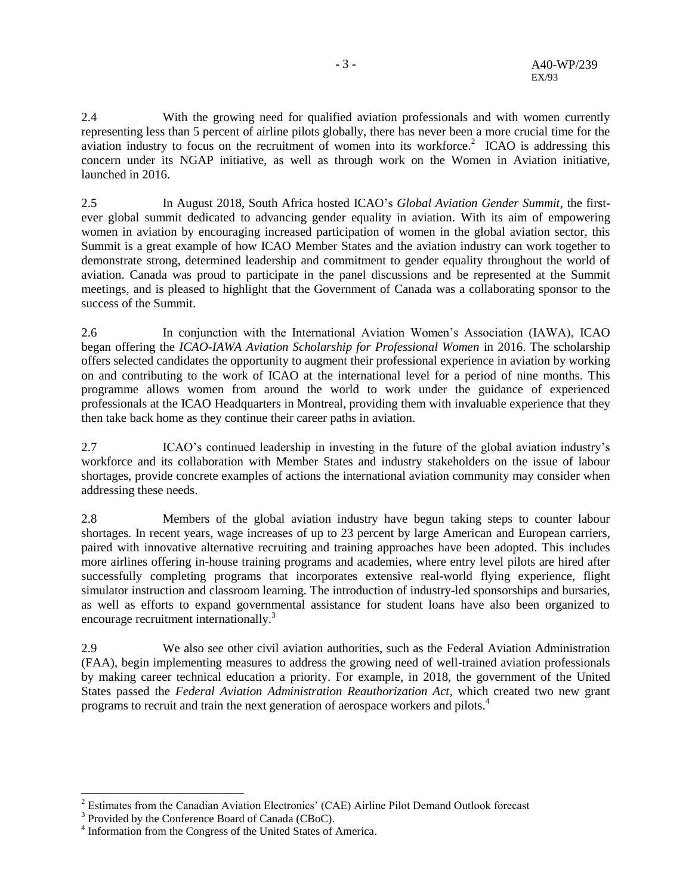2.4 With the growing need for qualified aviation professionals and with women currently representing less than 5 percent of airline pilots globally, there has never been a more crucial time for the aviation industry to focus on the recruitment of women into its workforce.<sup>2</sup> ICAO is addressing this concern under its NGAP initiative, as well as through work on the Women in Aviation initiative, launched in 2016.

2.5 In August 2018, South Africa hosted ICAO's *Global Aviation Gender Summit*, the firstever global summit dedicated to advancing gender equality in aviation. With its aim of empowering women in aviation by encouraging increased participation of women in the global aviation sector, this Summit is a great example of how ICAO Member States and the aviation industry can work together to demonstrate strong, determined leadership and commitment to gender equality throughout the world of aviation. Canada was proud to participate in the panel discussions and be represented at the Summit meetings, and is pleased to highlight that the Government of Canada was a collaborating sponsor to the success of the Summit.

2.6 In conjunction with the International Aviation Women's Association (IAWA), ICAO began offering the *ICAO-IAWA Aviation Scholarship for Professional Women* in 2016. The scholarship offers selected candidates the opportunity to augment their professional experience in aviation by working on and contributing to the work of ICAO at the international level for a period of nine months. This programme allows women from around the world to work under the guidance of experienced professionals at the ICAO Headquarters in Montreal, providing them with invaluable experience that they then take back home as they continue their career paths in aviation.

2.7 ICAO's continued leadership in investing in the future of the global aviation industry's workforce and its collaboration with Member States and industry stakeholders on the issue of labour shortages, provide concrete examples of actions the international aviation community may consider when addressing these needs.

2.8 Members of the global aviation industry have begun taking steps to counter labour shortages. In recent years, wage increases of up to 23 percent by large American and European carriers, paired with innovative alternative recruiting and training approaches have been adopted. This includes more airlines offering in-house training programs and academies, where entry level pilots are hired after successfully completing programs that incorporates extensive real-world flying experience, flight simulator instruction and classroom learning. The introduction of industry-led sponsorships and bursaries, as well as efforts to expand governmental assistance for student loans have also been organized to encourage recruitment internationally.<sup>3</sup>

2.9 We also see other civil aviation authorities, such as the Federal Aviation Administration (FAA), begin implementing measures to address the growing need of well-trained aviation professionals by making career technical education a priority. For example, in 2018, the government of the United States passed the *Federal Aviation Administration Reauthorization Act*, which created two new grant programs to recruit and train the next generation of aerospace workers and pilots.<sup>4</sup>

 $\overline{\phantom{a}}$ 

 $2^{2}$  Estimates from the Canadian Aviation Electronics' (CAE) Airline Pilot Demand Outlook forecast

<sup>&</sup>lt;sup>3</sup> Provided by the Conference Board of Canada (CBoC).

<sup>&</sup>lt;sup>4</sup> Information from the Congress of the United States of America.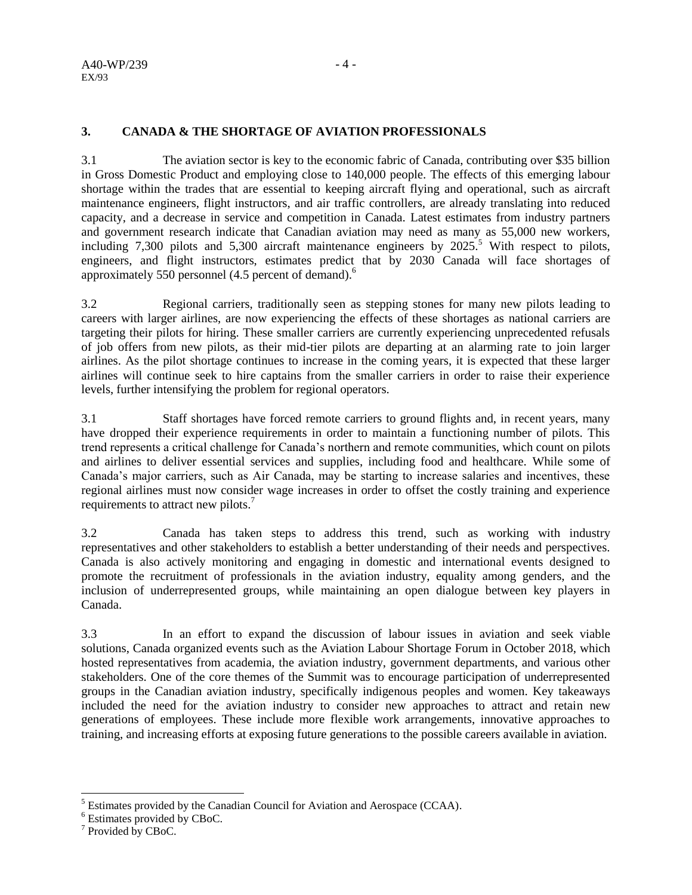#### A40-WP/239 EX/93

### **3. CANADA & THE SHORTAGE OF AVIATION PROFESSIONALS**

3.1 The aviation sector is key to the economic fabric of Canada, contributing over \$35 billion in Gross Domestic Product and employing close to 140,000 people. The effects of this emerging labour shortage within the trades that are essential to keeping aircraft flying and operational, such as aircraft maintenance engineers, flight instructors, and air traffic controllers, are already translating into reduced capacity, and a decrease in service and competition in Canada. Latest estimates from industry partners and government research indicate that Canadian aviation may need as many as 55,000 new workers, including 7,300 pilots and 5,300 aircraft maintenance engineers by  $2025$ <sup>5</sup>. With respect to pilots, engineers, and flight instructors, estimates predict that by 2030 Canada will face shortages of approximately 550 personnel (4.5 percent of demand).<sup>6</sup>

3.2 Regional carriers, traditionally seen as stepping stones for many new pilots leading to careers with larger airlines, are now experiencing the effects of these shortages as national carriers are targeting their pilots for hiring. These smaller carriers are currently experiencing unprecedented refusals of job offers from new pilots, as their mid-tier pilots are departing at an alarming rate to join larger airlines. As the pilot shortage continues to increase in the coming years, it is expected that these larger airlines will continue seek to hire captains from the smaller carriers in order to raise their experience levels, further intensifying the problem for regional operators.

3.1 Staff shortages have forced remote carriers to ground flights and, in recent years, many have dropped their experience requirements in order to maintain a functioning number of pilots. This trend represents a critical challenge for Canada's northern and remote communities, which count on pilots and airlines to deliver essential services and supplies, including food and healthcare. While some of Canada's major carriers, such as Air Canada, may be starting to increase salaries and incentives, these regional airlines must now consider wage increases in order to offset the costly training and experience requirements to attract new pilots.<sup>7</sup>

3.2 Canada has taken steps to address this trend, such as working with industry representatives and other stakeholders to establish a better understanding of their needs and perspectives. Canada is also actively monitoring and engaging in domestic and international events designed to promote the recruitment of professionals in the aviation industry, equality among genders, and the inclusion of underrepresented groups, while maintaining an open dialogue between key players in Canada.

3.3 In an effort to expand the discussion of labour issues in aviation and seek viable solutions, Canada organized events such as the Aviation Labour Shortage Forum in October 2018, which hosted representatives from academia, the aviation industry, government departments, and various other stakeholders. One of the core themes of the Summit was to encourage participation of underrepresented groups in the Canadian aviation industry, specifically indigenous peoples and women. Key takeaways included the need for the aviation industry to consider new approaches to attract and retain new generations of employees. These include more flexible work arrangements, innovative approaches to training, and increasing efforts at exposing future generations to the possible careers available in aviation.

 $\overline{\phantom{a}}$ 

 $<sup>5</sup>$  Estimates provided by the Canadian Council for Aviation and Aerospace (CCAA).</sup>

<sup>6</sup> Estimates provided by CBoC.

<sup>&</sup>lt;sup>7</sup> Provided by CBoC.